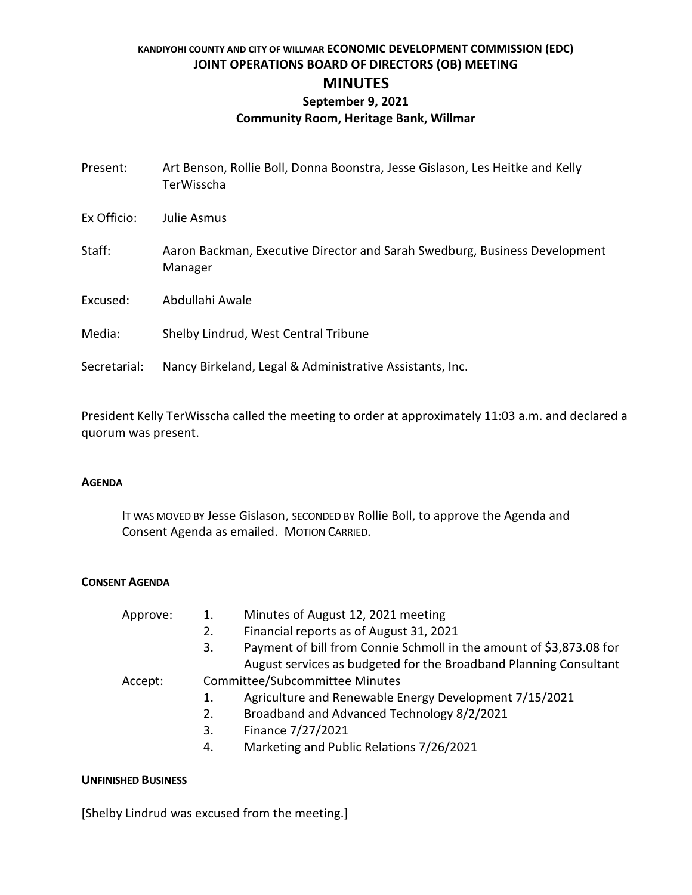## **KANDIYOHI COUNTY AND CITY OF WILLMAR ECONOMIC DEVELOPMENT COMMISSION (EDC) JOINT OPERATIONS BOARD OF DIRECTORS (OB) MEETING MINUTES September 9, 2021**

# **Community Room, Heritage Bank, Willmar**

| Present:     | Art Benson, Rollie Boll, Donna Boonstra, Jesse Gislason, Les Heitke and Kelly<br>TerWisscha |
|--------------|---------------------------------------------------------------------------------------------|
| Ex Officio:  | Julie Asmus                                                                                 |
| Staff:       | Aaron Backman, Executive Director and Sarah Swedburg, Business Development<br>Manager       |
| Excused:     | Abdullahi Awale                                                                             |
| Media:       | Shelby Lindrud, West Central Tribune                                                        |
| Secretarial: | Nancy Birkeland, Legal & Administrative Assistants, Inc.                                    |

President Kelly TerWisscha called the meeting to order at approximately 11:03 a.m. and declared a quorum was present.

#### **AGENDA**

IT WAS MOVED BY Jesse Gislason, SECONDED BY Rollie Boll, to approve the Agenda and Consent Agenda as emailed. MOTION CARRIED.

### **CONSENT AGENDA**

| Approve: | Minutes of August 12, 2021 meeting<br>1.<br>Financial reports as of August 31, 2021<br>2.<br>Payment of bill from Connie Schmoll in the amount of \$3,873.08 for<br>3. |
|----------|------------------------------------------------------------------------------------------------------------------------------------------------------------------------|
|          | August services as budgeted for the Broadband Planning Consultant                                                                                                      |
| Accept:  | <b>Committee/Subcommittee Minutes</b>                                                                                                                                  |
|          | Agriculture and Renewable Energy Development 7/15/2021<br>1.                                                                                                           |
|          | Broadband and Advanced Technology 8/2/2021<br>2.                                                                                                                       |
|          | Finance 7/27/2021<br>3.                                                                                                                                                |
|          | Marketing and Public Relations 7/26/2021<br>4.                                                                                                                         |

#### **UNFINISHED BUSINESS**

[Shelby Lindrud was excused from the meeting.]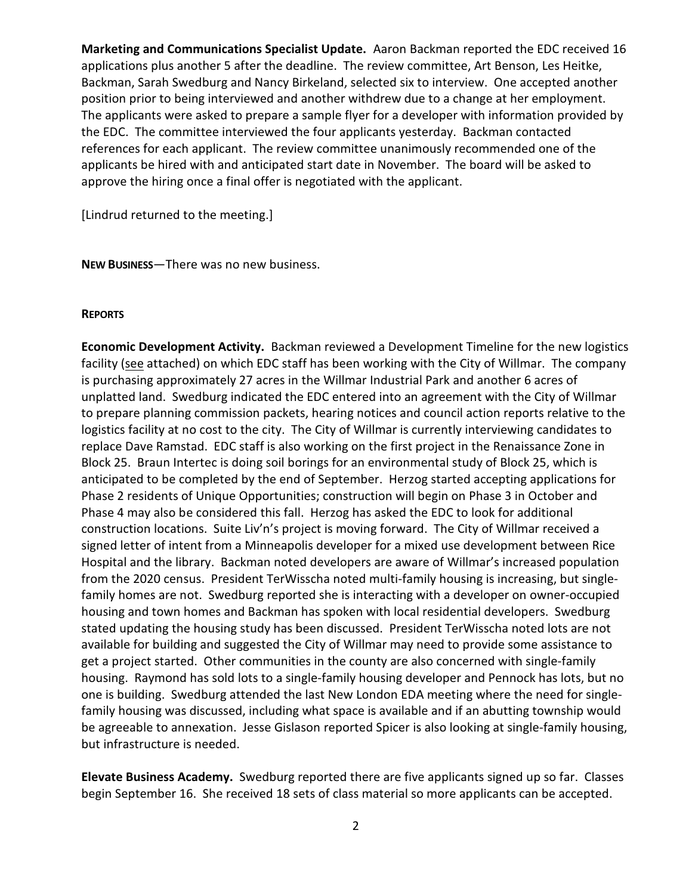**Marketing and Communications Specialist Update.** Aaron Backman reported the EDC received 16 applications plus another 5 after the deadline. The review committee, Art Benson, Les Heitke, Backman, Sarah Swedburg and Nancy Birkeland, selected six to interview. One accepted another position prior to being interviewed and another withdrew due to a change at her employment. The applicants were asked to prepare a sample flyer for a developer with information provided by the EDC. The committee interviewed the four applicants yesterday. Backman contacted references for each applicant. The review committee unanimously recommended one of the applicants be hired with and anticipated start date in November. The board will be asked to approve the hiring once a final offer is negotiated with the applicant.

[Lindrud returned to the meeting.]

**NEW BUSINESS**—There was no new business.

#### **REPORTS**

**Economic Development Activity.** Backman reviewed a Development Timeline for the new logistics facility (see attached) on which EDC staff has been working with the City of Willmar. The company is purchasing approximately 27 acres in the Willmar Industrial Park and another 6 acres of unplatted land. Swedburg indicated the EDC entered into an agreement with the City of Willmar to prepare planning commission packets, hearing notices and council action reports relative to the logistics facility at no cost to the city. The City of Willmar is currently interviewing candidates to replace Dave Ramstad. EDC staff is also working on the first project in the Renaissance Zone in Block 25. Braun Intertec is doing soil borings for an environmental study of Block 25, which is anticipated to be completed by the end of September. Herzog started accepting applications for Phase 2 residents of Unique Opportunities; construction will begin on Phase 3 in October and Phase 4 may also be considered this fall. Herzog has asked the EDC to look for additional construction locations. Suite Liv'n's project is moving forward. The City of Willmar received a signed letter of intent from a Minneapolis developer for a mixed use development between Rice Hospital and the library. Backman noted developers are aware of Willmar's increased population from the 2020 census. President TerWisscha noted multi-family housing is increasing, but singlefamily homes are not. Swedburg reported she is interacting with a developer on owner-occupied housing and town homes and Backman has spoken with local residential developers. Swedburg stated updating the housing study has been discussed. President TerWisscha noted lots are not available for building and suggested the City of Willmar may need to provide some assistance to get a project started. Other communities in the county are also concerned with single-family housing. Raymond has sold lots to a single-family housing developer and Pennock has lots, but no one is building. Swedburg attended the last New London EDA meeting where the need for singlefamily housing was discussed, including what space is available and if an abutting township would be agreeable to annexation. Jesse Gislason reported Spicer is also looking at single-family housing, but infrastructure is needed.

**Elevate Business Academy.** Swedburg reported there are five applicants signed up so far. Classes begin September 16. She received 18 sets of class material so more applicants can be accepted.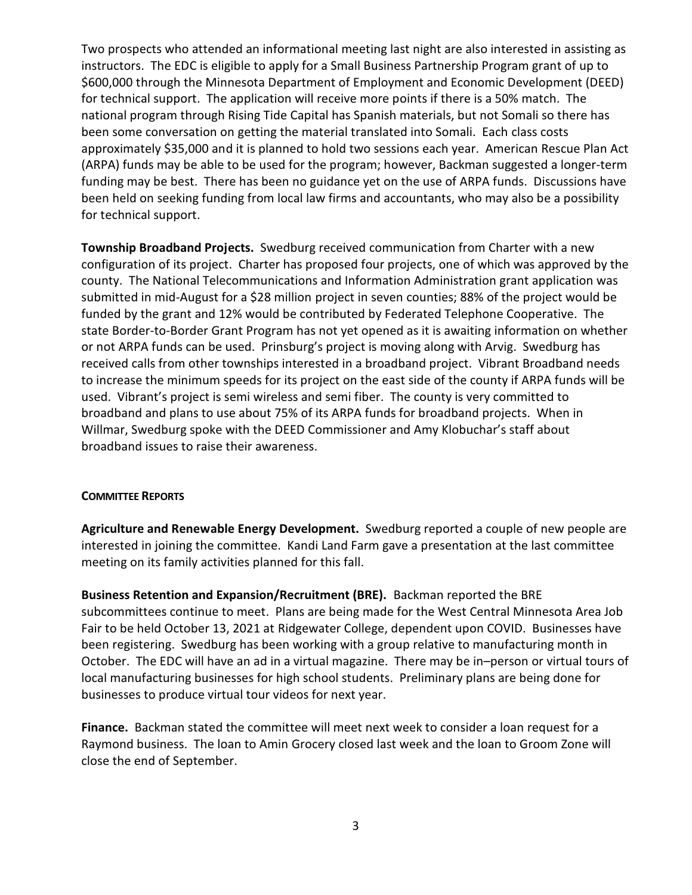Two prospects who attended an informational meeting last night are also interested in assisting as instructors. The EDC is eligible to apply for a Small Business Partnership Program grant of up to \$600,000 through the Minnesota Department of Employment and Economic Development (DEED) for technical support. The application will receive more points if there is a 50% match. The national program through Rising Tide Capital has Spanish materials, but not Somali so there has been some conversation on getting the material translated into Somali. Each class costs approximately \$35,000 and it is planned to hold two sessions each year. American Rescue Plan Act (ARPA) funds may be able to be used for the program; however, Backman suggested a longer-term funding may be best. There has been no guidance yet on the use of ARPA funds. Discussions have been held on seeking funding from local law firms and accountants, who may also be a possibility for technical support.

**Township Broadband Projects.** Swedburg received communication from Charter with a new configuration of its project. Charter has proposed four projects, one of which was approved by the county. The National Telecommunications and Information Administration grant application was submitted in mid-August for a \$28 million project in seven counties; 88% of the project would be funded by the grant and 12% would be contributed by Federated Telephone Cooperative. The state Border-to-Border Grant Program has not yet opened as it is awaiting information on whether or not ARPA funds can be used. Prinsburg's project is moving along with Arvig. Swedburg has received calls from other townships interested in a broadband project. Vibrant Broadband needs to increase the minimum speeds for its project on the east side of the county if ARPA funds will be used. Vibrant's project is semi wireless and semi fiber. The county is very committed to broadband and plans to use about 75% of its ARPA funds for broadband projects. When in Willmar, Swedburg spoke with the DEED Commissioner and Amy Klobuchar's staff about broadband issues to raise their awareness.

#### **COMMITTEE REPORTS**

**Agriculture and Renewable Energy Development.** Swedburg reported a couple of new people are interested in joining the committee. Kandi Land Farm gave a presentation at the last committee meeting on its family activities planned for this fall.

**Business Retention and Expansion/Recruitment (BRE).** Backman reported the BRE subcommittees continue to meet. Plans are being made for the West Central Minnesota Area Job Fair to be held October 13, 2021 at Ridgewater College, dependent upon COVID. Businesses have been registering. Swedburg has been working with a group relative to manufacturing month in October. The EDC will have an ad in a virtual magazine. There may be in–person or virtual tours of local manufacturing businesses for high school students. Preliminary plans are being done for businesses to produce virtual tour videos for next year.

**Finance.** Backman stated the committee will meet next week to consider a loan request for a Raymond business. The loan to Amin Grocery closed last week and the loan to Groom Zone will close the end of September.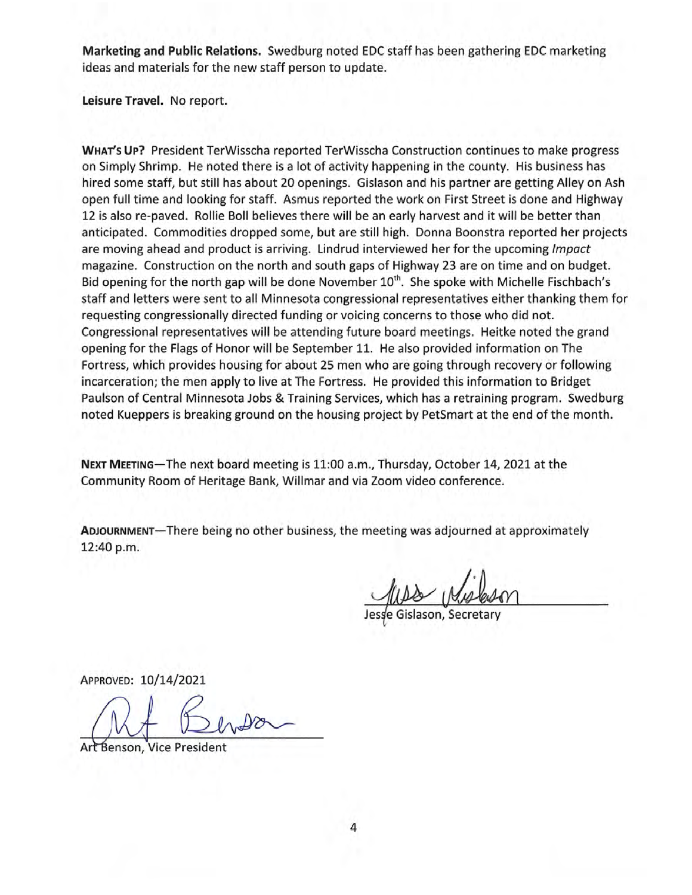Marketing and Public Relations. Swedburg noted EDC staff has been gathering EDC marketing ideas and materials for the new staff person to update.

Leisure Travel. No report.

WHAT's UP? President TerWisscha reported TerWisscha Construction continues to make progress on Simply Shrimp. He noted there is a lot of activity happening in the county. His business has hired some staff, but still has about 20 openings. Gislason and his partner are getting Alley on Ash open full time and looking for staff. Asmus reported the work on First Street is done and Highway 12 is also re-paved. Rollie Boll believes there will be an early harvest and it will be better than anticipated. Commodities dropped some, but are still high. Donna Boonstra reported her projects are moving ahead and product is arriving. Lindrud interviewed her for the upcoming Impact magazine. Construction on the north and south gaps of Highway 23 are on time and on budget. Bid opening for the north gap will be done November 10<sup>th</sup>. She spoke with Michelle Fischbach's staff and letters were sent to all Minnesota congressional representatives either thanking them for requesting congressionally directed funding or voicing concerns to those who did not. Congressional representatives will be attending future board meetings. Heitke noted the grand opening for the Flags of Honor will be September 11. He also provided information on The Fortress, which provides housing for about 25 men who are going through recovery or following incarceration; the men apply to live at The Fortress. He provided this information to Bridget Paulson of Central Minnesota Jobs & Training Services, which has a retraining program. Swedburg noted Kueppers is breaking ground on the housing project by PetSmart at the end of the month.

NEXT MEETING-The next board meeting is 11:00 a.m., Thursday, October 14, 2021 at the Community Room of Heritage Bank, Willmar and via Zoom video conference.

ADJOURNMENT-There being no other business, the meeting was adjourned at approximately 12:40 p.m.

APPROVED: 10/14/2021

Art Benson, Vice President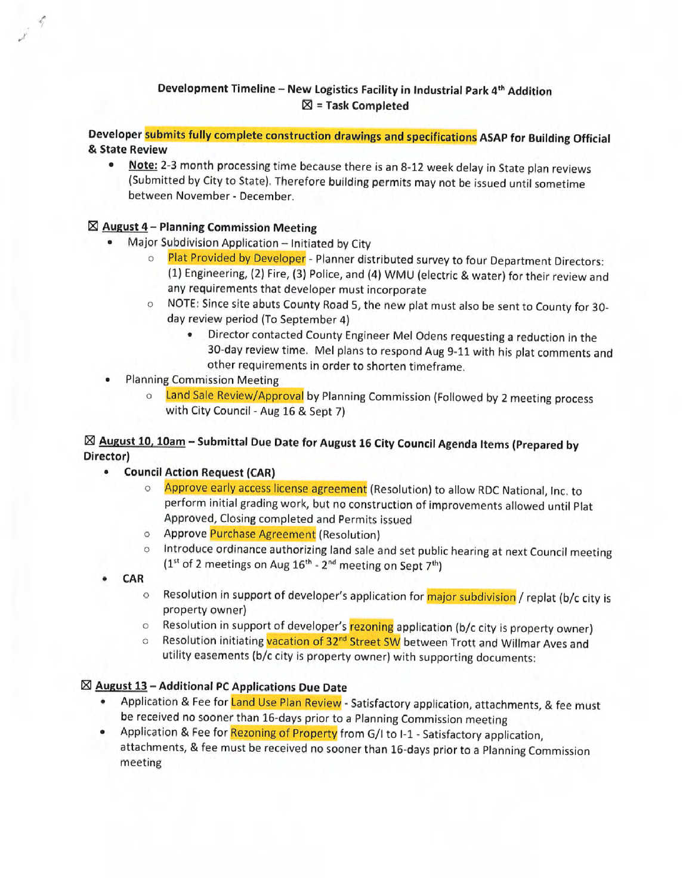## Development Timeline - New Logistics Facility in Industrial Park 4<sup>th</sup> Addition  $\boxtimes$  = Task Completed

Developer submits fully complete construction drawings and specifications ASAP for Building Official & State Review

Note: 2-3 month processing time because there is an 8-12 week delay in State plan reviews  $\bullet$ (Submitted by City to State). Therefore building permits may not be issued until sometime between November - December.

### $\boxtimes$  August 4 – Planning Commission Meeting

- Major Subdivision Application Initiated by City
	- Plat Provided by Developer Planner distributed survey to four Department Directors:  $\circ$ (1) Engineering, (2) Fire, (3) Police, and (4) WMU (electric & water) for their review and any requirements that developer must incorporate
	- NOTE: Since site abuts County Road 5, the new plat must also be sent to County for 30day review period (To September 4)
		- Director contacted County Engineer Mel Odens requesting a reduction in the 30-day review time. Mel plans to respond Aug 9-11 with his plat comments and other requirements in order to shorten timeframe.
- **Planning Commission Meeting**  $\bullet$ 
	- o Land Sale Review/Approval by Planning Commission (Followed by 2 meeting process with City Council - Aug 16 & Sept 7)

## ⊠ August 10, 10am - Submittal Due Date for August 16 City Council Agenda Items (Prepared by Director)

- Council Action Request (CAR)
	- Approve early access license agreement (Resolution) to allow RDC National, Inc. to  $\circ$ perform initial grading work, but no construction of improvements allowed until Plat Approved, Closing completed and Permits issued
	- o Approve Purchase Agreement (Resolution)
	- o Introduce ordinance authorizing land sale and set public hearing at next Council meeting  $(1<sup>st</sup>$  of 2 meetings on Aug  $16<sup>th</sup>$  - 2<sup>nd</sup> meeting on Sept 7<sup>th</sup>)
- CAR ۰
	- Resolution in support of developer's application for major subdivision / replat (b/c city is  $\circ$ property owner)
	- Resolution in support of developer's rezoning application (b/c city is property owner)  $\circ$
	- Resolution initiating vacation of 32<sup>nd</sup> Street SW between Trott and Willmar Aves and  $\circ$ utility easements (b/c city is property owner) with supporting documents:

## $\boxtimes$  August 13 - Additional PC Applications Due Date

- Application & Fee for Land Use Plan Review Satisfactory application, attachments, & fee must be received no sooner than 16-days prior to a Planning Commission meeting
- Application & Fee for Rezoning of Property from G/I to I-1 Satisfactory application, attachments, & fee must be received no sooner than 16-days prior to a Planning Commission meeting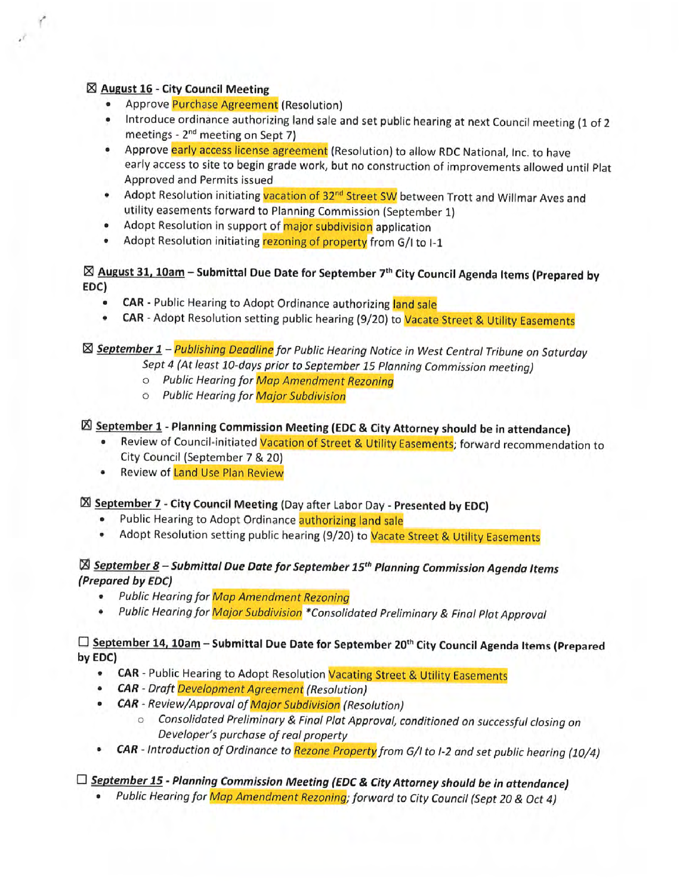### $\boxtimes$  August 16 - City Council Meeting

- Approve Purchase Agreement (Resolution)
- . Introduce ordinance authorizing land sale and set public hearing at next Council meeting (1 of 2 meetings - 2<sup>nd</sup> meeting on Sept 7)
- Approve early access license agreement (Resolution) to allow RDC National, Inc. to have early access to site to begin grade work, but no construction of improvements allowed until Plat Approved and Permits issued
- Adopt Resolution initiating vacation of 32<sup>nd</sup> Street SW between Trott and Willmar Aves and utility easements forward to Planning Commission (September 1)
- Adopt Resolution in support of major subdivision application
- Adopt Resolution initiating rezoning of property from G/I to I-1  $\bullet$

## $\boxtimes$  August 31, 10am - Submittal Due Date for September 7<sup>th</sup> City Council Agenda Items (Prepared by EDC)

- CAR Public Hearing to Adopt Ordinance authorizing land sale
- CAR Adopt Resolution setting public hearing (9/20) to Vacate Street & Utility Easements  $\bullet$

## ⊠ September 1 - Publishing Deadline for Public Hearing Notice in West Central Tribune on Saturday

- Sept 4 (At least 10-days prior to September 15 Planning Commission meeting)
- o Public Hearing for Map Amendment Rezoning
- o Public Hearing for Major Subdivision

## ⊠ September 1 - Planning Commission Meeting (EDC & City Attorney should be in attendance)

- Review of Council-initiated Vacation of Street & Utility Easements; forward recommendation to City Council (September 7 & 20)
- Review of Land Use Plan Review  $\bullet$

## **X September 7 - City Council Meeting (Day after Labor Day - Presented by EDC)**

- Public Hearing to Adopt Ordinance authorizing land sale
- $\bullet$ Adopt Resolution setting public hearing (9/20) to Vacate Street & Utility Easements

## ⊠ September 8 – Submittal Due Date for September 15<sup>th</sup> Planning Commission Agenda Items (Prepared by EDC)

- $\bullet$ **Public Hearing for Map Amendment Rezoning**
- $\bullet$ Public Hearing for Major Subdivision \*Consolidated Preliminary & Final Plat Approval

## □ September 14, 10am - Submittal Due Date for September 20<sup>th</sup> City Council Agenda Items (Prepared by EDC)

- CAR Public Hearing to Adopt Resolution Vacating Street & Utility Easements
- **CAR** Draft Development Agreement (Resolution)
- CAR Review/Approval of Major Subdivision (Resolution)
	- o Consolidated Preliminary & Final Plat Approval, conditioned on successful closing on Developer's purchase of real property
- CAR Introduction of Ordinance to Rezone Property from G/I to I-2 and set public hearing (10/4)

# □ September 15 - Planning Commission Meeting (EDC & City Attorney should be in attendance)

• Public Hearing for Map Amendment Rezoning; forward to City Council (Sept 20 & Oct 4)